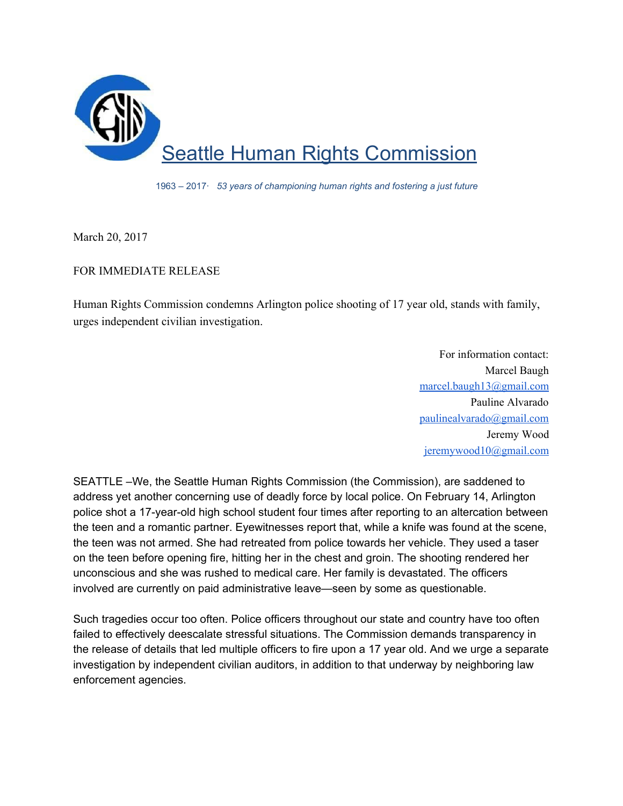

1963 – 2017· *53 years of championing human rights and fostering a just future*

March 20, 2017

## FOR IMMEDIATE RELEASE

Human Rights Commission condemns Arlington police shooting of 17 year old, stands with family, urges independent civilian investigation.

> For information contact: Marcel Baugh [marcel.baugh13@gmail.com](mailto:marcel.baugh13@gmail.com) Pauline Alvarado [paulinealvarado@gmail.com](mailto:paulinealvarado@gmail.com) Jeremy Wood [jeremywood10@gmail.com](mailto:jeremywood10@gmail.com)

SEATTLE –We, the Seattle Human Rights Commission (the Commission), are saddened to address yet another concerning use of deadly force by local police. On February 14, Arlington police shot a 17-year-old high school student four times after reporting to an altercation between the teen and a romantic partner. Eyewitnesses report that, while a knife was found at the scene, the teen was not armed. She had retreated from police towards her vehicle. They used a taser on the teen before opening fire, hitting her in the chest and groin. The shooting rendered her unconscious and she was rushed to medical care. Her family is devastated. The officers involved are currently on paid administrative leave—seen by some as questionable.

Such tragedies occur too often. Police officers throughout our state and country have too often failed to effectively deescalate stressful situations. The Commission demands transparency in the release of details that led multiple officers to fire upon a 17 year old. And we urge a separate investigation by independent civilian auditors, in addition to that underway by neighboring law enforcement agencies.